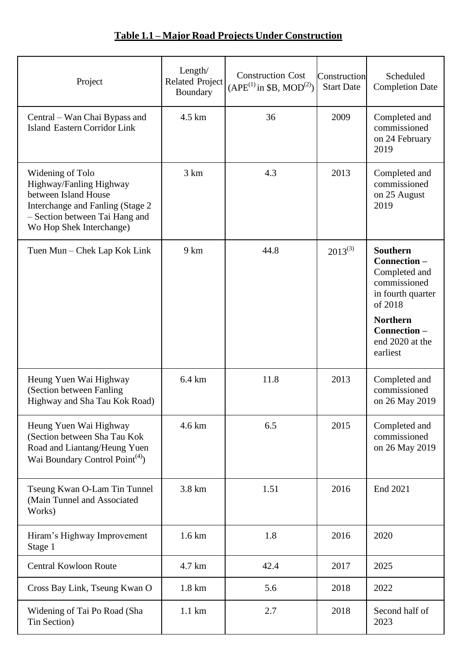## **Table 1.1 – Major Road Projects Under Construction**

| Project                                                                                                                                                                | Length/<br><b>Related Project</b><br>Boundary | <b>Construction Cost</b><br>$(APE^{(1)}$ in \$B, MOD <sup>(2)</sup> ) | Construction<br><b>Start Date</b> | Scheduled<br><b>Completion Date</b>                                                                                                                              |
|------------------------------------------------------------------------------------------------------------------------------------------------------------------------|-----------------------------------------------|-----------------------------------------------------------------------|-----------------------------------|------------------------------------------------------------------------------------------------------------------------------------------------------------------|
| Central – Wan Chai Bypass and<br><b>Island Eastern Corridor Link</b>                                                                                                   | $4.5 \mathrm{km}$                             | 36                                                                    | 2009                              | Completed and<br>commissioned<br>on 24 February<br>2019                                                                                                          |
| Widening of Tolo<br>Highway/Fanling Highway<br>between Island House<br>Interchange and Fanling (Stage 2)<br>- Section between Tai Hang and<br>Wo Hop Shek Interchange) | 3 km                                          | 4.3                                                                   | 2013                              | Completed and<br>commissioned<br>on 25 August<br>2019                                                                                                            |
| Tuen Mun – Chek Lap Kok Link                                                                                                                                           | 9 km                                          | 44.8                                                                  | $2013^{(3)}$                      | <b>Southern</b><br>Connection-<br>Completed and<br>commissioned<br>in fourth quarter<br>of 2018<br><b>Northern</b><br>Connection-<br>end 2020 at the<br>earliest |
| Heung Yuen Wai Highway<br>(Section between Fanling<br>Highway and Sha Tau Kok Road)                                                                                    | 6.4 km                                        | 11.8                                                                  | 2013                              | Completed and<br>commissioned<br>on 26 May 2019                                                                                                                  |
| Heung Yuen Wai Highway<br>(Section between Sha Tau Kok<br>Road and Liantang/Heung Yuen<br>Wai Boundary Control Point <sup>(4)</sup> )                                  | $4.6 \mathrm{km}$                             | 6.5                                                                   | 2015                              | Completed and<br>commissioned<br>on 26 May 2019                                                                                                                  |
| Tseung Kwan O-Lam Tin Tunnel<br>(Main Tunnel and Associated<br>Works)                                                                                                  | 3.8 km                                        | 1.51                                                                  | 2016                              | End 2021                                                                                                                                                         |
| Hiram's Highway Improvement<br>Stage 1                                                                                                                                 | $1.6 \mathrm{km}$                             | 1.8                                                                   | 2016                              | 2020                                                                                                                                                             |
| <b>Central Kowloon Route</b>                                                                                                                                           | 4.7 km                                        | 42.4                                                                  | 2017                              | 2025                                                                                                                                                             |
| Cross Bay Link, Tseung Kwan O                                                                                                                                          | $1.8 \mathrm{km}$                             | 5.6                                                                   | 2018                              | 2022                                                                                                                                                             |
| Widening of Tai Po Road (Sha<br>Tin Section)                                                                                                                           | $1.1 \text{ km}$                              | 2.7                                                                   | 2018                              | Second half of<br>2023                                                                                                                                           |